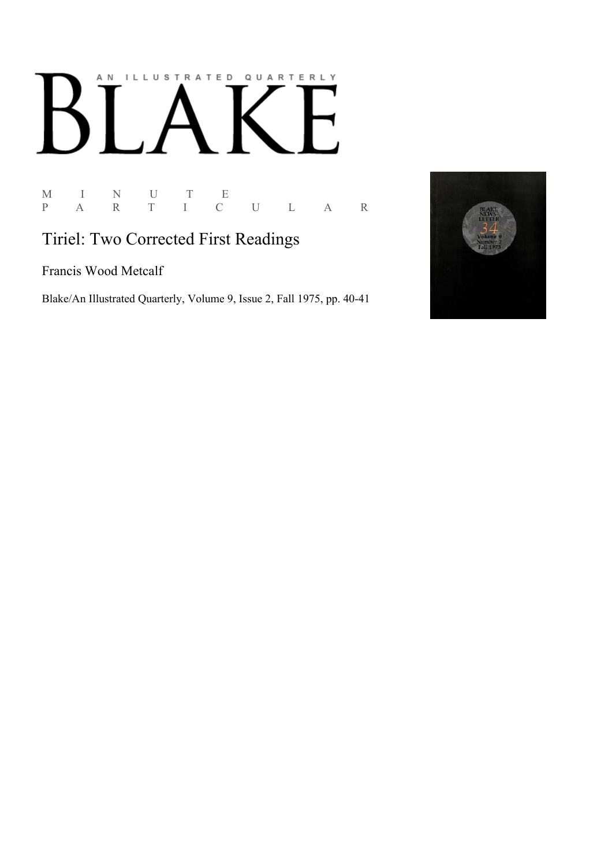## AN ILLUSTRATED QUARTERLY

M I N U T E<br>P A R T I C P A R T I C U L A R

## Tiriel: Two Corrected First Readings

Francis Wood Metcalf

Blake/An Illustrated Quarterly, Volume 9, Issue 2, Fall 1975, pp. 40-41

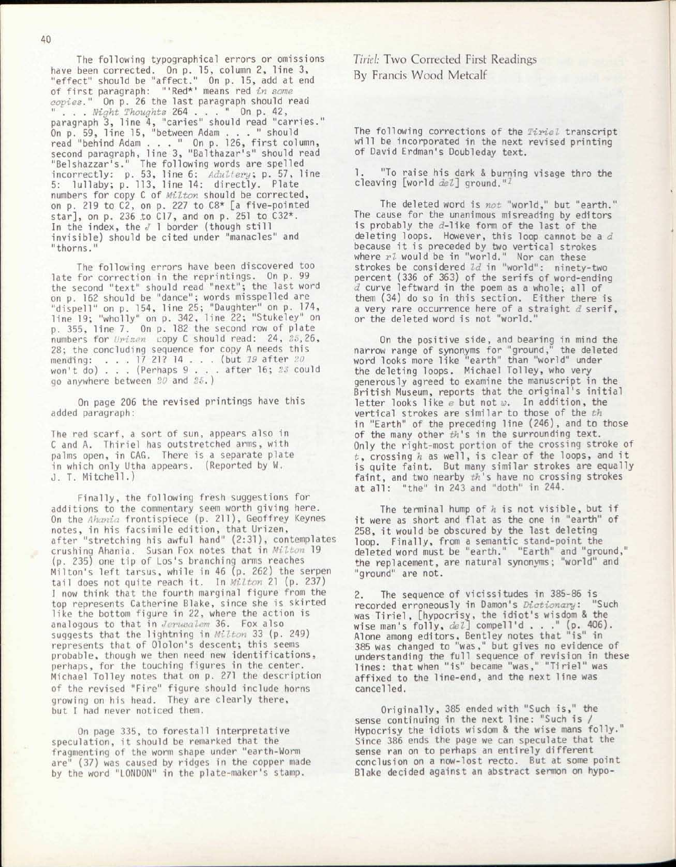The following typographical errors or omissions have been corrected. On p. 15, column 2, line 3, "effect" should be "affect." On p. 15, add at end of first paragraph: "'Red\*' means red *in some copies."* On p. 26 the last paragraph should read " . . . *Night Thoughts* 264 .. . " On p. 42, paragraph 3, line 4, "caries" should read "carries." On p. 59, line 15, "between Adam ... " should read "behind Adam ... " On p. 126, first column, second paragraph, line 3, "Balthazar's" should read "Belshazzar's." The following words are spelled incorrectly: p. 53, line 6: *Adultery,* p. 57, line 5: lullaby; p. 113, line 14: directly. Plate numbers for copy C of *Milton* should be corrected, on p. 219 to C2, on p. 227 to C8\* [a five-pointed star], on p. 236 to C17, and on p. 251 to C32\*. In the index, the *J* 1 border (though still invisible) should be cited under "manacles" and "thorns."

The following errors have been discovered too late for correction in the reprintings. On p. 99 the second "text" should read "next"; the last word on p. 162 should be "dance"; words misspelled are "dispell" on p. 154, line 25; "Daughter" on p. 174, line 19; "wholly" on p. 342, line 22; "Stukeley" on p. 355, line 7. On p. 182 the second row of plate numbers for *Vrizen* copy C should read: 24, 25,26, 28; the concluding sequence for copy A needs this mending: . . . 17 21? 14 .. . (but *19* after *20*  won't do) . . . (Perhaps 9 . . . after 16; *23* could go anywhere between *20* and *25. )* 

On page 206 the revised printings have this added paragraph:

The red scarf, a sort of sun, appears also in C and A. Thiriel has outstretched arms, with palms open, in CAG. There is a separate plate in which only Utha appears. (Reported by W. J. T. Mitchell.)

Finally, the following fresh suggestions for additions to the commentary seem worth giving here. On the *Ahania* frontispiece (p. 211), Geoffrey Keynes notes, in his facsimile edition, that Urizen, after "stretching his awful hand" (2:31), contemplates crushing Ahania. Susan Fox notes that in *Milton* 19 (p. 235) one tip of Los's branching arms reaches Milton's left tarsus, while in 46 (p. 262) the serpen tail does not quite reach it. In *Milton* 21 (p. 237) I now think that the fourth marginal figure from the top represents Catherine Blake, since she is skirted like the bottom figure in 22, where the action is analogous to that in *Jerusalem* 36. Fox also suggests that the lightning in *Milton* 33 (p. 249) represents that of Ololon's descent; this seems probable, though we then need new identifications, perhaps, for the touching figures in the center. Michael Tolley notes that on p. 271 the description of the revised "Fire" figure should include horns growing on his head. They are clearly there, but I had never noticed them.

On page 335, to forestall interpretative speculation, it should be remarked that the fragmenting of the worm shape under "earth-Worm *are"* (37) was caused by ridges in the copper made by the word "LONDON" in the plate-maker's stamp.

**Tiriel: Two Corrected First Readings** By Francis Wood Metcalf

The following corrections of the *Tiriel* transcript will be incorporated in the next revised printing of David Erdman's Doubleday text.

"To raise his dark & burning visage thro the cleaving [world del] ground."

The deleted word is *not* "world," but "earth." The cause for the unanimous misreading by editors is probably the d-like form of the last of the deleting loops. However, this loop cannot be a *d*  because it is preceded by two vertical strokes where  $r\bar{\imath}$  would be in "world." Nor can these strokes be considered *Id* in "world": ninety-two percent (336 of 363) of the serifs of word-ending *d* curve leftward in the poem as a whole; all of them (34) do so in this section. Either there is a very rare occurrence here of a straight *d* serif, or the deleted word is not "world."

On the positive side, and bearing in mind the narrow range of synonyms for "ground," the deleted word looks more like "earth" than "world" under the deleting loops. Michael Tolley, who very generously agreed to examine the manuscript in the British Museum, reports that the original's initial letter looks like *e* but not *w.* In addition, the vertical strokes are similar to those of the *th*  in "Earth" of the preceding line (246), and to those of the many other *th's* in the surrounding text. Only the right-most portion of the crossing stroke of *t*, crossing *h* as well, is clear of the loops, and it is quite faint. But many similar strokes are equally faint, and two nearby *th's* have no crossing strokes at all: "the" in 243 and "doth" in 244.

The terminal hump of *h* is not visible, but if it were as short and flat as the one in "earth" of 258, it would be obscured by the last deleting loop. Finally, from a semantic stand-point the deleted word must be "earth." "Earth" and "ground," the replacement, are natural synonyms; "world" and "ground" are not.

The sequence of vicissitudes in 385-86 is recorded erroneously in Damon's *Dictionary:* "Such was Tiriel, [hypocrisy, the idiot's wisdom & the wise man's folly, *del]* compell'd . . ." (p. 406). Alone among editors, Bentley notes that "is" in 385 was changed to "was," but gives no evidence of understanding the full sequence of revision in these lines: that when "is" became "was," "Tiriel" was affixed to the line-end, and the next line was cancelled.

Originally, 385 ended with "Such is," the sense continuing in the next line: "Such is / Hypocrisy the idiots wisdom & the wise mans folly." Since 386 ends the page we can speculate that the sense ran on to perhaps an entirely different conclusion on a now-lost recto. But at some point Blake decided against an abstract sermon on hypo-